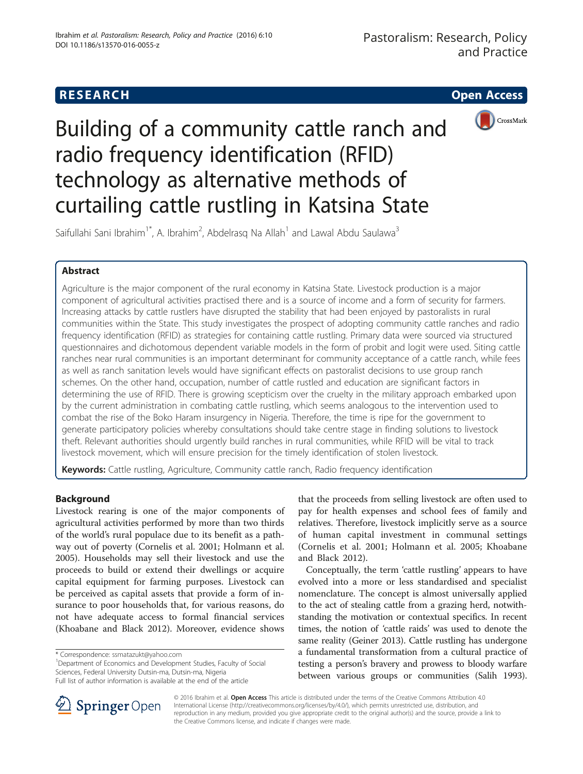# **RESEARCH CHE Open Access**



Building of a community cattle ranch and radio frequency identification (RFID) technology as alternative methods of curtailing cattle rustling in Katsina State

Saifullahi Sani Ibrahim<sup>1\*</sup>, A. Ibrahim<sup>2</sup>, Abdelrasq Na Allah<sup>1</sup> and Lawal Abdu Saulawa<sup>3</sup>

## Abstract

Agriculture is the major component of the rural economy in Katsina State. Livestock production is a major component of agricultural activities practised there and is a source of income and a form of security for farmers. Increasing attacks by cattle rustlers have disrupted the stability that had been enjoyed by pastoralists in rural communities within the State. This study investigates the prospect of adopting community cattle ranches and radio frequency identification (RFID) as strategies for containing cattle rustling. Primary data were sourced via structured questionnaires and dichotomous dependent variable models in the form of probit and logit were used. Siting cattle ranches near rural communities is an important determinant for community acceptance of a cattle ranch, while fees as well as ranch sanitation levels would have significant effects on pastoralist decisions to use group ranch schemes. On the other hand, occupation, number of cattle rustled and education are significant factors in determining the use of RFID. There is growing scepticism over the cruelty in the military approach embarked upon by the current administration in combating cattle rustling, which seems analogous to the intervention used to combat the rise of the Boko Haram insurgency in Nigeria. Therefore, the time is ripe for the government to generate participatory policies whereby consultations should take centre stage in finding solutions to livestock theft. Relevant authorities should urgently build ranches in rural communities, while RFID will be vital to track livestock movement, which will ensure precision for the timely identification of stolen livestock.

Keywords: Cattle rustling, Agriculture, Community cattle ranch, Radio frequency identification

## Background

Livestock rearing is one of the major components of agricultural activities performed by more than two thirds of the world's rural populace due to its benefit as a pathway out of poverty (Cornelis et al. [2001;](#page-7-0) Holmann et al. [2005](#page-7-0)). Households may sell their livestock and use the proceeds to build or extend their dwellings or acquire capital equipment for farming purposes. Livestock can be perceived as capital assets that provide a form of insurance to poor households that, for various reasons, do not have adequate access to formal financial services (Khoabane and Black [2012](#page-7-0)). Moreover, evidence shows

<sup>1</sup>Department of Economics and Development Studies, Faculty of Social Sciences, Federal University Dutsin-ma, Dutsin-ma, Nigeria Full list of author information is available at the end of the article

Conceptually, the term 'cattle rustling' appears to have evolved into a more or less standardised and specialist nomenclature. The concept is almost universally applied to the act of stealing cattle from a grazing herd, notwithstanding the motivation or contextual specifics. In recent times, the notion of 'cattle raids' was used to denote the same reality (Geiner [2013](#page-7-0)). Cattle rustling has undergone a fundamental transformation from a cultural practice of testing a person's bravery and prowess to bloody warfare between various groups or communities (Salih [1993](#page-7-0)).



© 2016 Ibrahim et al. Open Access This article is distributed under the terms of the Creative Commons Attribution 4.0 International License ([http://creativecommons.org/licenses/by/4.0/\)](http://creativecommons.org/licenses/by/4.0/), which permits unrestricted use, distribution, and reproduction in any medium, provided you give appropriate credit to the original author(s) and the source, provide a link to the Creative Commons license, and indicate if changes were made.

<sup>\*</sup> Correspondence: [ssmatazukt@yahoo.com](mailto:ssmatazukt@yahoo.com) <sup>1</sup>

that the proceeds from selling livestock are often used to pay for health expenses and school fees of family and relatives. Therefore, livestock implicitly serve as a source of human capital investment in communal settings (Cornelis et al. [2001;](#page-7-0) Holmann et al. [2005](#page-7-0); Khoabane and Black [2012](#page-7-0)).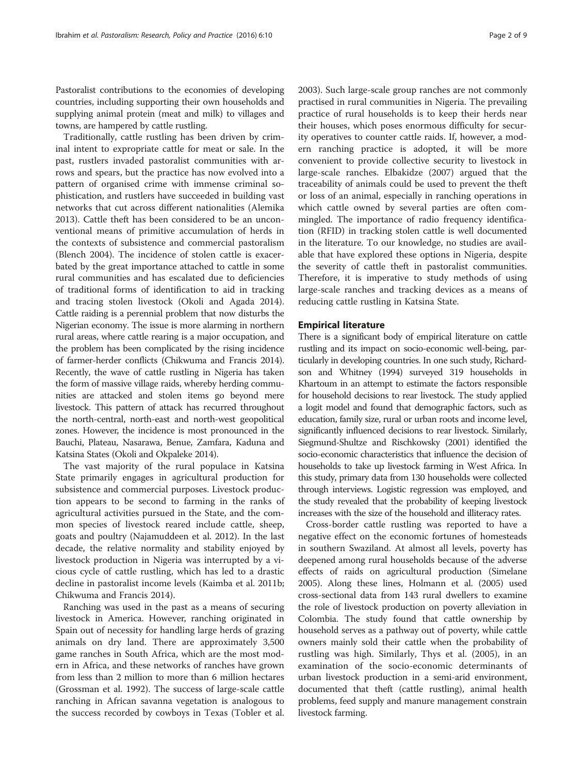Pastoralist contributions to the economies of developing countries, including supporting their own households and supplying animal protein (meat and milk) to villages and towns, are hampered by cattle rustling.

Traditionally, cattle rustling has been driven by criminal intent to expropriate cattle for meat or sale. In the past, rustlers invaded pastoralist communities with arrows and spears, but the practice has now evolved into a pattern of organised crime with immense criminal sophistication, and rustlers have succeeded in building vast networks that cut across different nationalities (Alemika [2013](#page-7-0)). Cattle theft has been considered to be an unconventional means of primitive accumulation of herds in the contexts of subsistence and commercial pastoralism (Blench [2004\)](#page-7-0). The incidence of stolen cattle is exacerbated by the great importance attached to cattle in some rural communities and has escalated due to deficiencies of traditional forms of identification to aid in tracking and tracing stolen livestock (Okoli and Agada [2014](#page-7-0)). Cattle raiding is a perennial problem that now disturbs the Nigerian economy. The issue is more alarming in northern rural areas, where cattle rearing is a major occupation, and the problem has been complicated by the rising incidence of farmer-herder conflicts (Chikwuma and Francis [2014](#page-7-0)). Recently, the wave of cattle rustling in Nigeria has taken the form of massive village raids, whereby herding communities are attacked and stolen items go beyond mere livestock. This pattern of attack has recurred throughout the north-central, north-east and north-west geopolitical zones. However, the incidence is most pronounced in the Bauchi, Plateau, Nasarawa, Benue, Zamfara, Kaduna and Katsina States (Okoli and Okpaleke [2014](#page-7-0)).

The vast majority of the rural populace in Katsina State primarily engages in agricultural production for subsistence and commercial purposes. Livestock production appears to be second to farming in the ranks of agricultural activities pursued in the State, and the common species of livestock reared include cattle, sheep, goats and poultry (Najamuddeen et al. [2012](#page-7-0)). In the last decade, the relative normality and stability enjoyed by livestock production in Nigeria was interrupted by a vicious cycle of cattle rustling, which has led to a drastic decline in pastoralist income levels (Kaimba et al. [2011b](#page-7-0); Chikwuma and Francis [2014\)](#page-7-0).

Ranching was used in the past as a means of securing livestock in America. However, ranching originated in Spain out of necessity for handling large herds of grazing animals on dry land. There are approximately 3,500 game ranches in South Africa, which are the most modern in Africa, and these networks of ranches have grown from less than 2 million to more than 6 million hectares (Grossman et al. [1992](#page-7-0)). The success of large-scale cattle ranching in African savanna vegetation is analogous to the success recorded by cowboys in Texas (Tobler et al. [2003](#page-8-0)). Such large-scale group ranches are not commonly practised in rural communities in Nigeria. The prevailing practice of rural households is to keep their herds near their houses, which poses enormous difficulty for security operatives to counter cattle raids. If, however, a modern ranching practice is adopted, it will be more convenient to provide collective security to livestock in large-scale ranches. Elbakidze [\(2007\)](#page-7-0) argued that the traceability of animals could be used to prevent the theft or loss of an animal, especially in ranching operations in which cattle owned by several parties are often commingled. The importance of radio frequency identification (RFID) in tracking stolen cattle is well documented in the literature. To our knowledge, no studies are available that have explored these options in Nigeria, despite the severity of cattle theft in pastoralist communities. Therefore, it is imperative to study methods of using large-scale ranches and tracking devices as a means of reducing cattle rustling in Katsina State.

### Empirical literature

There is a significant body of empirical literature on cattle rustling and its impact on socio-economic well-being, particularly in developing countries. In one such study, Richardson and Whitney [\(1994\)](#page-7-0) surveyed 319 households in Khartoum in an attempt to estimate the factors responsible for household decisions to rear livestock. The study applied a logit model and found that demographic factors, such as education, family size, rural or urban roots and income level, significantly influenced decisions to rear livestock. Similarly, Siegmund-Shultze and Rischkowsky [\(2001](#page-7-0)) identified the socio-economic characteristics that influence the decision of households to take up livestock farming in West Africa. In this study, primary data from 130 households were collected through interviews. Logistic regression was employed, and the study revealed that the probability of keeping livestock increases with the size of the household and illiteracy rates.

Cross-border cattle rustling was reported to have a negative effect on the economic fortunes of homesteads in southern Swaziland. At almost all levels, poverty has deepened among rural households because of the adverse effects of raids on agricultural production (Simelane [2005](#page-7-0)). Along these lines, Holmann et al. [\(2005](#page-7-0)) used cross-sectional data from 143 rural dwellers to examine the role of livestock production on poverty alleviation in Colombia. The study found that cattle ownership by household serves as a pathway out of poverty, while cattle owners mainly sold their cattle when the probability of rustling was high. Similarly, Thys et al. [\(2005](#page-8-0)), in an examination of the socio-economic determinants of urban livestock production in a semi-arid environment, documented that theft (cattle rustling), animal health problems, feed supply and manure management constrain livestock farming.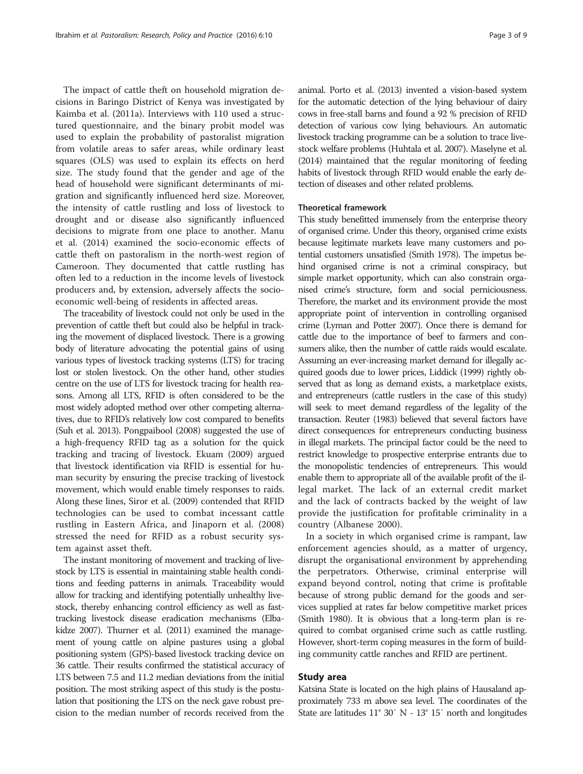The impact of cattle theft on household migration decisions in Baringo District of Kenya was investigated by Kaimba et al. [\(2011a](#page-7-0)). Interviews with 110 used a structured questionnaire, and the binary probit model was used to explain the probability of pastoralist migration from volatile areas to safer areas, while ordinary least squares (OLS) was used to explain its effects on herd size. The study found that the gender and age of the head of household were significant determinants of migration and significantly influenced herd size. Moreover, the intensity of cattle rustling and loss of livestock to drought and or disease also significantly influenced decisions to migrate from one place to another. Manu et al. [\(2014\)](#page-7-0) examined the socio-economic effects of cattle theft on pastoralism in the north-west region of Cameroon. They documented that cattle rustling has often led to a reduction in the income levels of livestock producers and, by extension, adversely affects the socioeconomic well-being of residents in affected areas.

The traceability of livestock could not only be used in the prevention of cattle theft but could also be helpful in tracking the movement of displaced livestock. There is a growing body of literature advocating the potential gains of using various types of livestock tracking systems (LTS) for tracing lost or stolen livestock. On the other hand, other studies centre on the use of LTS for livestock tracing for health reasons. Among all LTS, RFID is often considered to be the most widely adopted method over other competing alternatives, due to RFID's relatively low cost compared to benefits (Suh et al. [2013](#page-8-0)). Pongpaibool ([2008\)](#page-7-0) suggested the use of a high-frequency RFID tag as a solution for the quick tracking and tracing of livestock. Ekuam [\(2009](#page-7-0)) argued that livestock identification via RFID is essential for human security by ensuring the precise tracking of livestock movement, which would enable timely responses to raids. Along these lines, Siror et al. ([2009](#page-8-0)) contended that RFID technologies can be used to combat incessant cattle rustling in Eastern Africa, and Jinaporn et al. [\(2008](#page-7-0)) stressed the need for RFID as a robust security system against asset theft.

The instant monitoring of movement and tracking of livestock by LTS is essential in maintaining stable health conditions and feeding patterns in animals. Traceability would allow for tracking and identifying potentially unhealthy livestock, thereby enhancing control efficiency as well as fasttracking livestock disease eradication mechanisms (Elbakidze [2007\)](#page-7-0). Thurner et al. [\(2011\)](#page-8-0) examined the management of young cattle on alpine pastures using a global positioning system (GPS)-based livestock tracking device on 36 cattle. Their results confirmed the statistical accuracy of LTS between 7.5 and 11.2 median deviations from the initial position. The most striking aspect of this study is the postulation that positioning the LTS on the neck gave robust precision to the median number of records received from the animal. Porto et al. [\(2013\)](#page-7-0) invented a vision-based system for the automatic detection of the lying behaviour of dairy cows in free-stall barns and found a 92 % precision of RFID detection of various cow lying behaviours. An automatic livestock tracking programme can be a solution to trace livestock welfare problems (Huhtala et al. [2007](#page-7-0)). Maselyne et al. ([2014](#page-7-0)) maintained that the regular monitoring of feeding habits of livestock through RFID would enable the early detection of diseases and other related problems.

#### Theoretical framework

This study benefitted immensely from the enterprise theory of organised crime. Under this theory, organised crime exists because legitimate markets leave many customers and potential customers unsatisfied (Smith [1978](#page-8-0)). The impetus behind organised crime is not a criminal conspiracy, but simple market opportunity, which can also constrain organised crime's structure, form and social perniciousness. Therefore, the market and its environment provide the most appropriate point of intervention in controlling organised crime (Lyman and Potter [2007\)](#page-7-0). Once there is demand for cattle due to the importance of beef to farmers and consumers alike, then the number of cattle raids would escalate. Assuming an ever-increasing market demand for illegally acquired goods due to lower prices, Liddick [\(1999\)](#page-7-0) rightly observed that as long as demand exists, a marketplace exists, and entrepreneurs (cattle rustlers in the case of this study) will seek to meet demand regardless of the legality of the transaction. Reuter [\(1983\)](#page-7-0) believed that several factors have direct consequences for entrepreneurs conducting business in illegal markets. The principal factor could be the need to restrict knowledge to prospective enterprise entrants due to the monopolistic tendencies of entrepreneurs. This would enable them to appropriate all of the available profit of the illegal market. The lack of an external credit market and the lack of contracts backed by the weight of law provide the justification for profitable criminality in a country (Albanese [2000\)](#page-7-0).

In a society in which organised crime is rampant, law enforcement agencies should, as a matter of urgency, disrupt the organisational environment by apprehending the perpetrators. Otherwise, criminal enterprise will expand beyond control, noting that crime is profitable because of strong public demand for the goods and services supplied at rates far below competitive market prices (Smith [1980\)](#page-8-0). It is obvious that a long-term plan is required to combat organised crime such as cattle rustling. However, short-term coping measures in the form of building community cattle ranches and RFID are pertinent.

#### Study area

Katsina State is located on the high plains of Hausaland approximately 733 m above sea level. The coordinates of the State are latitudes 11° 30′ N - 13° 15′ north and longitudes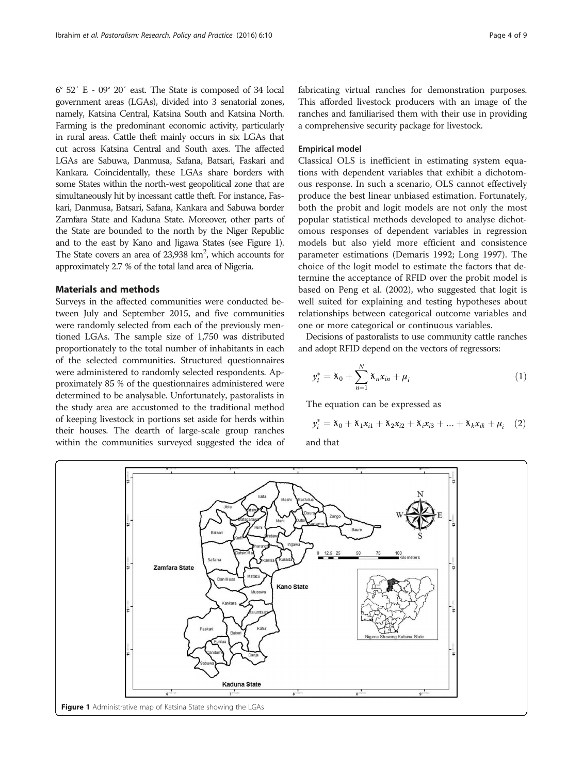6° 52′ E - 09° 20′ east. The State is composed of 34 local government areas (LGAs), divided into 3 senatorial zones, namely, Katsina Central, Katsina South and Katsina North. Farming is the predominant economic activity, particularly in rural areas. Cattle theft mainly occurs in six LGAs that cut across Katsina Central and South axes. The affected LGAs are Sabuwa, Danmusa, Safana, Batsari, Faskari and Kankara. Coincidentally, these LGAs share borders with some States within the north-west geopolitical zone that are simultaneously hit by incessant cattle theft. For instance, Faskari, Danmusa, Batsari, Safana, Kankara and Sabuwa border Zamfara State and Kaduna State. Moreover, other parts of the State are bounded to the north by the Niger Republic and to the east by Kano and Jigawa States (see Figure 1). The State covers an area of 23,938 km<sup>2</sup>, which accounts for approximately 2.7 % of the total land area of Nigeria.

#### Materials and methods

Surveys in the affected communities were conducted between July and September 2015, and five communities were randomly selected from each of the previously mentioned LGAs. The sample size of 1,750 was distributed proportionately to the total number of inhabitants in each of the selected communities. Structured questionnaires were administered to randomly selected respondents. Approximately 85 % of the questionnaires administered were determined to be analysable. Unfortunately, pastoralists in the study area are accustomed to the traditional method of keeping livestock in portions set aside for herds within their houses. The dearth of large-scale group ranches within the communities surveyed suggested the idea of

fabricating virtual ranches for demonstration purposes. This afforded livestock producers with an image of the ranches and familiarised them with their use in providing a comprehensive security package for livestock.

#### Empirical model

Classical OLS is inefficient in estimating system equations with dependent variables that exhibit a dichotomous response. In such a scenario, OLS cannot effectively produce the best linear unbiased estimation. Fortunately, both the probit and logit models are not only the most popular statistical methods developed to analyse dichotomous responses of dependent variables in regression models but also yield more efficient and consistence parameter estimations (Demaris [1992](#page-7-0); Long [1997\)](#page-7-0). The choice of the logit model to estimate the factors that determine the acceptance of RFID over the probit model is based on Peng et al. [\(2002\)](#page-7-0), who suggested that logit is well suited for explaining and testing hypotheses about relationships between categorical outcome variables and one or more categorical or continuous variables.

Decisions of pastoralists to use community cattle ranches and adopt RFID depend on the vectors of regressors:

$$
y_i^* = \lambda_0 + \sum_{n=1}^{N} \lambda_n x_{in} + \mu_i
$$
 (1)

The equation can be expressed as

$$
y_i^* = \lambda_0 + \lambda_1 x_{i1} + \lambda_2 x_{i2} + \lambda_i x_{i3} + \ldots + \lambda_k x_{ik} + \mu_i \quad (2)
$$

and that

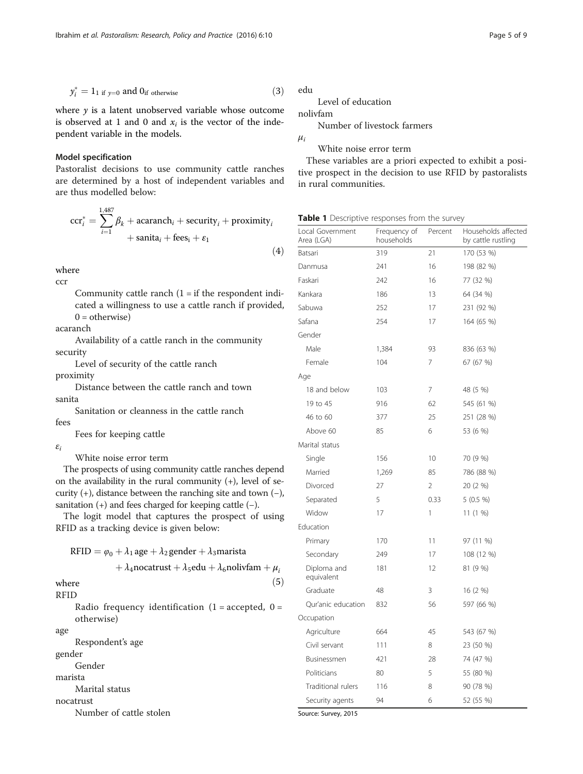<span id="page-4-0"></span>
$$
y_i^* = 1_{1 \text{ if } y=0} \text{ and } 0_{\text{if otherwise}} \tag{3}
$$

where  $\gamma$  is a latent unobserved variable whose outcome is observed at 1 and 0 and  $x_i$  is the vector of the independent variable in the models.

### Model specification

Pastoralist decisions to use community cattle ranches are determined by a host of independent variables and are thus modelled below:

$$
ccr_i^* = \sum_{i=1}^{1,487} \beta_k + \text{acaranch}_i + \text{security}_i + \text{proximity}_i + \text{sanita}_i + \text{fees}_i + \varepsilon_1 \tag{4}
$$

where

ccr Community cattle ranch  $(1 = if the respondent indi$ cated a willingness to use a cattle ranch if provided,  $0 = \text{otherwise}$ )

acaranch

Availability of a cattle ranch in the community security

Level of security of the cattle ranch

proximity

Distance between the cattle ranch and town sanita

Sanitation or cleanness in the cattle ranch fees

Fees for keeping cattle

 $\varepsilon_i$ 

White noise error term

The prospects of using community cattle ranches depend on the availability in the rural community  $(+)$ , level of security  $(+)$ , distance between the ranching site and town  $(-)$ , sanitation (+) and fees charged for keeping cattle (−).

The logit model that captures the prospect of using RFID as a tracking device is given below:

RFID =  $\varphi_0 + \lambda_1$  age +  $\lambda_2$  gender +  $\lambda_3$ marista

 $\lambda_4$ nocatrust  $\lambda_5$ edu  $\lambda_6$ nolivfam  $\mu_i$ 

where  $(5)$ RFID

Radio frequency identification  $(1 = accepted, 0 =$ otherwise)

age

Respondent's age

gender

Gender

marista

Marital status

nocatrust

Number of cattle stolen

```
edu
```
Level of education

nolivfam

Number of livestock farmers

 $\mu_i$ White noise error term

These variables are a priori expected to exhibit a positive prospect in the decision to use RFID by pastoralists in rural communities.

| Local Government<br>Area (LGA) | Frequency of<br>households | Percent        | Households affected<br>by cattle rustling |
|--------------------------------|----------------------------|----------------|-------------------------------------------|
| Batsari                        | 319                        | 21             | 170 (53 %)                                |
| Danmusa                        | 241                        | 16             | 198 (82 %)                                |
| Faskari                        | 242                        | 16             | 77 (32 %)                                 |
| Kankara                        | 186                        | 13             | 64 (34 %)                                 |
| Sabuwa                         | 252                        | 17             | 231 (92 %)                                |
| Safana                         | 254                        | 17             | 164 (65 %)                                |
| Gender                         |                            |                |                                           |
| Male                           | 1,384                      | 93             | 836 (63 %)                                |
| Female                         | 104                        | 7              | 67 (67 %)                                 |
| Age                            |                            |                |                                           |
| 18 and below                   | 103                        | 7              | 48 (5 %)                                  |
| 19 to 45                       | 916                        | 62             | 545 (61 %)                                |
| 46 to 60                       | 377                        | 25             | 251 (28 %)                                |
| Above 60                       | 85                         | 6              | 53 (6 %)                                  |
| Marital status                 |                            |                |                                           |
| Single                         | 156                        | 10             | 70 (9 %)                                  |
| Married                        | 1,269                      | 85             | 786 (88 %)                                |
| Divorced                       | 27                         | $\overline{2}$ | 20 (2 %)                                  |
| Separated                      | 5                          | 0.33           | $5(0.5\%)$                                |
| Widow                          | 17                         | 1              | 11 (1 %)                                  |
| Education                      |                            |                |                                           |
| Primary                        | 170                        | 11             | 97 (11 %)                                 |
| Secondary                      | 249                        | 17             | 108 (12 %)                                |
| Diploma and<br>equivalent      | 181                        | 12             | 81 (9 %)                                  |
| Graduate                       | 48                         | 3              | 16 (2 %)                                  |
| Qur'anic education             | 832                        | 56             | 597 (66 %)                                |
| Occupation                     |                            |                |                                           |
| Agriculture                    | 664                        | 45             | 543 (67 %)                                |
| Civil servant                  | 111                        | 8              | 23 (50 %)                                 |
| Businessmen                    | 421                        | 28             | 74 (47 %)                                 |
| Politicians                    | 80                         | 5              | 55 (80 %)                                 |
| Traditional rulers             | 116                        | 8              | 90 (78 %)                                 |
| Security agents                | 94                         | 6              | 52 (55 %)                                 |

Source: Survey, 2015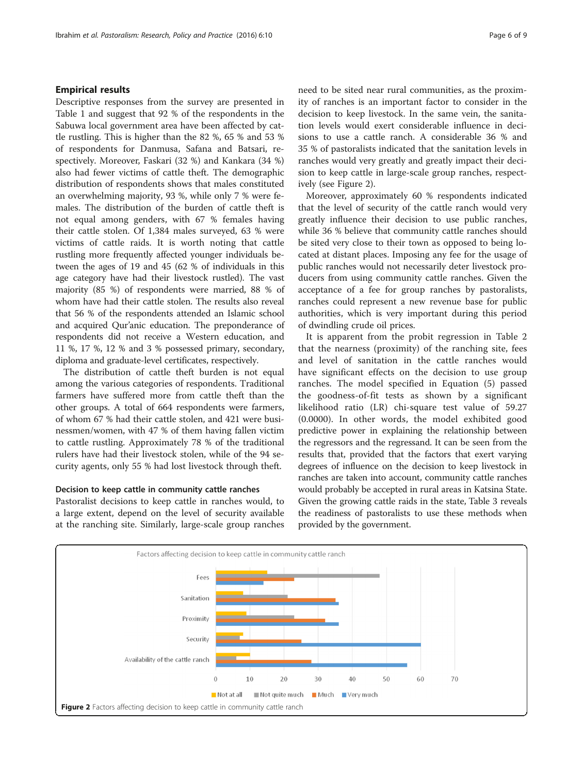### Empirical results

Descriptive responses from the survey are presented in Table [1](#page-4-0) and suggest that 92 % of the respondents in the Sabuwa local government area have been affected by cattle rustling. This is higher than the 82 %, 65 % and 53 % of respondents for Danmusa, Safana and Batsari, respectively. Moreover, Faskari (32 %) and Kankara (34 %) also had fewer victims of cattle theft. The demographic distribution of respondents shows that males constituted an overwhelming majority, 93 %, while only 7 % were females. The distribution of the burden of cattle theft is not equal among genders, with 67 % females having their cattle stolen. Of 1,384 males surveyed, 63 % were victims of cattle raids. It is worth noting that cattle rustling more frequently affected younger individuals between the ages of 19 and 45 (62 % of individuals in this age category have had their livestock rustled). The vast majority (85 %) of respondents were married, 88 % of whom have had their cattle stolen. The results also reveal that 56 % of the respondents attended an Islamic school and acquired Qur'anic education. The preponderance of respondents did not receive a Western education, and 11 %, 17 %, 12 % and 3 % possessed primary, secondary, diploma and graduate-level certificates, respectively.

The distribution of cattle theft burden is not equal among the various categories of respondents. Traditional farmers have suffered more from cattle theft than the other groups. A total of 664 respondents were farmers, of whom 67 % had their cattle stolen, and 421 were businessmen/women, with 47 % of them having fallen victim to cattle rustling. Approximately 78 % of the traditional rulers have had their livestock stolen, while of the 94 security agents, only 55 % had lost livestock through theft.

#### Decision to keep cattle in community cattle ranches

Pastoralist decisions to keep cattle in ranches would, to a large extent, depend on the level of security available at the ranching site. Similarly, large-scale group ranches need to be sited near rural communities, as the proximity of ranches is an important factor to consider in the decision to keep livestock. In the same vein, the sanitation levels would exert considerable influence in decisions to use a cattle ranch. A considerable 36 % and 35 % of pastoralists indicated that the sanitation levels in ranches would very greatly and greatly impact their decision to keep cattle in large-scale group ranches, respectively (see Figure 2).

Moreover, approximately 60 % respondents indicated that the level of security of the cattle ranch would very greatly influence their decision to use public ranches, while 36 % believe that community cattle ranches should be sited very close to their town as opposed to being located at distant places. Imposing any fee for the usage of public ranches would not necessarily deter livestock producers from using community cattle ranches. Given the acceptance of a fee for group ranches by pastoralists, ranches could represent a new revenue base for public authorities, which is very important during this period of dwindling crude oil prices.

It is apparent from the probit regression in Table [2](#page-6-0) that the nearness (proximity) of the ranching site, fees and level of sanitation in the cattle ranches would have significant effects on the decision to use group ranches. The model specified in Equation (5) passed the goodness-of-fit tests as shown by a significant likelihood ratio (LR) chi-square test value of 59.27 (0.0000). In other words, the model exhibited good predictive power in explaining the relationship between the regressors and the regressand. It can be seen from the results that, provided that the factors that exert varying degrees of influence on the decision to keep livestock in ranches are taken into account, community cattle ranches would probably be accepted in rural areas in Katsina State. Given the growing cattle raids in the state, Table [3](#page-6-0) reveals the readiness of pastoralists to use these methods when provided by the government.

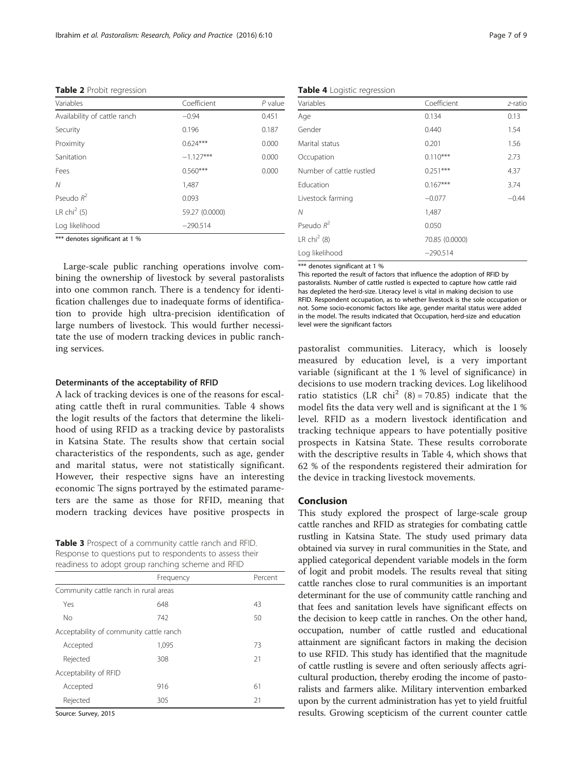<span id="page-6-0"></span>Table 2 Probit regression

| Variables                    | Coefficient    | $P$ value |
|------------------------------|----------------|-----------|
| Availability of cattle ranch | $-0.94$        | 0.451     |
| Security                     | 0.196          | 0.187     |
| Proximity                    | $0.624***$     | 0.000     |
| Sanitation                   | $-1.127***$    | 0.000     |
| Fees                         | $0.560***$     | 0.000     |
| N                            | 1,487          |           |
| Pseudo $R^2$                 | 0.093          |           |
| LR chi <sup>2</sup> (5)      | 59.27 (0.0000) |           |
| Log likelihood               | $-290.514$     |           |

\*\*\* denotes significant at 1 %

Large-scale public ranching operations involve combining the ownership of livestock by several pastoralists into one common ranch. There is a tendency for identification challenges due to inadequate forms of identification to provide high ultra-precision identification of large numbers of livestock. This would further necessitate the use of modern tracking devices in public ranching services.

#### Determinants of the acceptability of RFID

A lack of tracking devices is one of the reasons for escalating cattle theft in rural communities. Table 4 shows the logit results of the factors that determine the likelihood of using RFID as a tracking device by pastoralists in Katsina State. The results show that certain social characteristics of the respondents, such as age, gender and marital status, were not statistically significant. However, their respective signs have an interesting economic The signs portrayed by the estimated parameters are the same as those for RFID, meaning that modern tracking devices have positive prospects in

Table 3 Prospect of a community cattle ranch and RFID. Response to questions put to respondents to assess their readiness to adopt group ranching scheme and RFID

|                                         | Frequency | Percent |  |
|-----------------------------------------|-----------|---------|--|
| Community cattle ranch in rural areas   |           |         |  |
| Yes                                     | 648       | 43      |  |
| No                                      | 742       | 50      |  |
| Acceptability of community cattle ranch |           |         |  |
| Accepted                                | 1,095     | 73      |  |
| Rejected                                | 308       | 21      |  |
| Acceptability of RFID                   |           |         |  |
| Accepted                                | 916       | 61      |  |
| Rejected                                | 305       | 21      |  |

Source: Survey, 2015

|  | Table 4 Logistic regression |
|--|-----------------------------|
|  |                             |

| ---- - -- - <sub>1</sub> . - - <sub>1</sub> . --- |                |         |  |  |  |
|---------------------------------------------------|----------------|---------|--|--|--|
| Variables                                         | Coefficient    | z-ratio |  |  |  |
| Age                                               | 0.134          | 0.13    |  |  |  |
| Gender                                            | 0.440          | 1.54    |  |  |  |
| Marital status                                    | 0.201          | 1.56    |  |  |  |
| Occupation                                        | $0.110***$     | 2.73    |  |  |  |
| Number of cattle rustled                          | $0.251***$     | 4.37    |  |  |  |
| Education                                         | $0.167***$     | 3.74    |  |  |  |
| Livestock farming                                 | $-0.077$       | $-0.44$ |  |  |  |
| Ν                                                 | 1,487          |         |  |  |  |
| Pseudo $R^2$                                      | 0.050          |         |  |  |  |
| LR chi <sup>2</sup> (8)                           | 70.85 (0.0000) |         |  |  |  |
| Log likelihood                                    | $-290.514$     |         |  |  |  |

\*\*\* denotes significant at 1 %

This reported the result of factors that influence the adoption of RFID by pastoralists. Number of cattle rustled is expected to capture how cattle raid has depleted the herd-size. Literacy level is vital in making decision to use RFID. Respondent occupation, as to whether livestock is the sole occupation or not. Some socio-economic factors like age, gender marital status were added in the model. The results indicated that Occupation, herd-size and education level were the significant factors

pastoralist communities. Literacy, which is loosely measured by education level, is a very important variable (significant at the 1 % level of significance) in decisions to use modern tracking devices. Log likelihood ratio statistics (LR chi<sup>2</sup> (8) = 70.85) indicate that the model fits the data very well and is significant at the 1 % level. RFID as a modern livestock identification and tracking technique appears to have potentially positive prospects in Katsina State. These results corroborate with the descriptive results in Table 4, which shows that 62 % of the respondents registered their admiration for the device in tracking livestock movements.

## Conclusion

This study explored the prospect of large-scale group cattle ranches and RFID as strategies for combating cattle rustling in Katsina State. The study used primary data obtained via survey in rural communities in the State, and applied categorical dependent variable models in the form of logit and probit models. The results reveal that siting cattle ranches close to rural communities is an important determinant for the use of community cattle ranching and that fees and sanitation levels have significant effects on the decision to keep cattle in ranches. On the other hand, occupation, number of cattle rustled and educational attainment are significant factors in making the decision to use RFID. This study has identified that the magnitude of cattle rustling is severe and often seriously affects agricultural production, thereby eroding the income of pastoralists and farmers alike. Military intervention embarked upon by the current administration has yet to yield fruitful results. Growing scepticism of the current counter cattle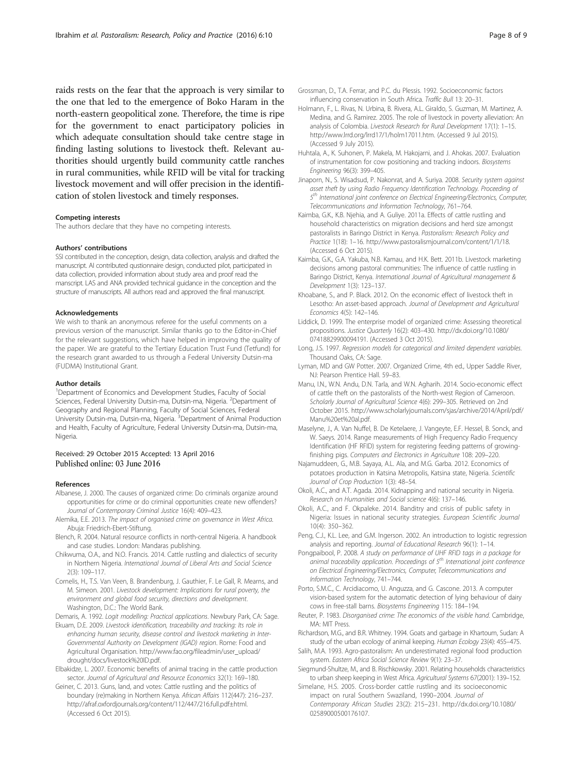<span id="page-7-0"></span>raids rests on the fear that the approach is very similar to the one that led to the emergence of Boko Haram in the north-eastern geopolitical zone. Therefore, the time is ripe for the government to enact participatory policies in which adequate consultation should take centre stage in finding lasting solutions to livestock theft. Relevant authorities should urgently build community cattle ranches in rural communities, while RFID will be vital for tracking livestock movement and will offer precision in the identification of stolen livestock and timely responses.

#### Competing interests

The authors declare that they have no competing interests.

#### Authors' contributions

SSI contributed in the conception, design, data collection, analysis and drafted the manuscript. AI contributed qustionnaire design, conducted pilot, participated in data collection, provided information about study area and proof read the manscript. LAS and ANA provided technical guidance in the conception and the structure of manuscripts. All authors read and approved the final manuscript.

#### Acknowledgements

We wish to thank an anonymous referee for the useful comments on a previous version of the manuscript. Similar thanks go to the Editor-in-Chief for the relevant suggestions, which have helped in improving the quality of the paper. We are grateful to the Tertiary Education Trust Fund (Tetfund) for the research grant awarded to us through a Federal University Dutsin-ma (FUDMA) Institutional Grant.

#### Author details

<sup>1</sup>Department of Economics and Development Studies, Faculty of Social Sciences, Federal University Dutsin-ma, Dutsin-ma, Nigeria. <sup>2</sup>Department of Geography and Regional Planning, Faculty of Social Sciences, Federal University Dutsin-ma, Dutsin-ma, Nigeria.<sup>3</sup> Department of Animal Production and Health, Faculty of Agriculture, Federal University Dutsin-ma, Dutsin-ma, Nigeria.

#### Received: 29 October 2015 Accepted: 13 April 2016 Published online: 03 June 2016

#### References

- Albanese, J. 2000. The causes of organized crime: Do criminals organize around opportunities for crime or do criminal opportunities create new offenders? Journal of Contemporary Criminal Justice 16(4): 409–423.
- Alemika, E.E. 2013. The impact of organised crime on governance in West Africa. Abuja: Friedrich-Ebert-Stiftung.
- Blench, R. 2004. Natural resource conflicts in north-central Nigeria. A handbook and case studies. London: Mandaras publishing.
- Chikwuma, O.A., and N.O. Francis. 2014. Cattle rustling and dialectics of security in Northern Nigeria. International Journal of Liberal Arts and Social Science 2(3): 109–117.
- Cornelis, H., T.S. Van Veen, B. Brandenburg, J. Gauthier, F. Le Gall, R. Mearns, and M. Simeon. 2001. Livestock development: Implications for rural poverty, the environment and global food security, directions and development. Washington, D.C.: The World Bank.
- Demaris, A. 1992. Logit modelling: Practical applications. Newbury Park, CA: Sage.
- Ekuam, D.E. 2009. Livestock identification, traceability and tracking: Its role in enhancing human security, disease control and livestock marketing in Inter-Governmental Authority on Development (IGAD) region. Rome: Food and Agricultural Organisation. [http://www.fao.org/fileadmin/user\\_upload/](http://www.fao.org/fileadmin/user_upload/drought/docs/livestock%20ID.pdf) [drought/docs/livestock%20ID.pdf](http://www.fao.org/fileadmin/user_upload/drought/docs/livestock%20ID.pdf).
- Elbakidze, L. 2007. Economic benefits of animal tracing in the cattle production sector. Journal of Agricultural and Resource Economics 32(1): 169–180.
- Geiner, C. 2013. Guns, land, and votes: Cattle rustling and the politics of boundary (re)making in Northern Kenya. African Affairs 112(447): 216–237. [http://afraf.oxfordjournals.org/content/112/447/216.full.pdf±html.](http://afraf.oxfordjournals.org/content/112/447/216.full.pdf%C2%B1html) (Accessed 6 Oct 2015).
- Grossman, D., T.A. Ferrar, and P.C. du Plessis. 1992. Socioeconomic factors influencing conservation in South Africa. Traffic Bull 13: 20–31.
- Holmann, F., L. Rivas, N. Urbina, B. Rivera, A.L. Giraldo, S. Guzman, M. Martinez, A. Medina, and G. Ramirez. 2005. The role of livestock in poverty alleviation: An analysis of Colombia. Livestock Research for Rural Development 17(1): 1–15. [http://www.lrrd.org/lrrd17/1/holm17011.htm.](http://www.lrrd.org/lrrd17/1/holm17011.htm) (Accessed 9 Jul 2015). (Accessed 9 July 2015).
- Huhtala, A., K. Suhonen, P. Makela, M. Hakojarni, and J. Ahokas. 2007. Evaluation of instrumentation for cow positioning and tracking indoors. Biosystems Engineering 96(3): 399–405.
- Jinaporn, N., S. Wisadsud, P. Nakonrat, and A. Suriya. 2008. Security system against asset theft by using Radio Frequency Identification Technology. Proceeding of 5<sup>th</sup> International joint conference on Electrical Engineering/Electronics, Computer, Telecommunications and Information Technology, 761–764.
- Kaimba, G.K., K.B. Njehia, and A. Guliye. 2011a. Effects of cattle rustling and household characteristics on migration decisions and herd size amongst pastoralists in Baringo District in Kenya. Pastoralism: Research Policy and Practice 1(18): 1–16.<http://www.pastoralismjournal.com/content/1/1/18>. (Accessed 6 Oct 2015).
- Kaimba, G.K., G.A. Yakuba, N.B. Kamau, and H.K. Bett. 2011b. Livestock marketing decisions among pastoral communities: The influence of cattle rustling in Baringo District, Kenya. International Journal of Agricultural management & Development 1(3): 123–137.
- Khoabane, S., and P. Black. 2012. On the economic effect of livestock theft in Lesotho: An asset-based approach. Journal of Development and Agricultural Economics 4(5): 142–146.
- Liddick, D. 1999. The enterprise model of organized crime: Assessing theoretical propositions. Justice Quarterly 16(2): 403–430. http://dx.doi.org/[10.1080/](http://dx.doi.org/10.1080/07418829900094191) [07418829900094191.](http://dx.doi.org/10.1080/07418829900094191) (Accessed 3 Oct 2015).
- Long, J.S. 1997. Regression models for categorical and limited dependent variables. Thousand Oaks, CA: Sage.
- Lyman, MD and GW Potter. 2007. Organized Crime, 4th ed., Upper Saddle River, NJ: Pearson Prentice Hall. 59–83.
- Manu, I.N., W.N. Andu, D.N. Tarla, and W.N. Agharih. 2014. Socio-economic effect of cattle theft on the pastoralists of the North-west Region of Cameroon. Scholarly Journal of Agricultural Science 4(6): 299–305. Retrieved on 2nd October 2015. [http://www.scholarlyjournals.com/sjas/archive/2014/April/pdf/](http://www.scholarlyjournals.com/sjas/archive/2014/April/pdf/Manu%20et%20al.pdf) [Manu%20et%20al.pdf.](http://www.scholarlyjournals.com/sjas/archive/2014/April/pdf/Manu%20et%20al.pdf)
- Maselyne, J., A. Van Nuffel, B. De Ketelaere, J. Vangeyte, E.F. Hessel, B. Sonck, and W. Saeys. 2014. Range measurements of High Frequency Radio Frequency Identification (HF RFID) system for registering feeding patterns of growingfinishing pigs. Computers and Electronics in Agriculture 108: 209–220.
- Najamuddeen, G., M.B. Sayaya, A.L. Ala, and M.G. Garba. 2012. Economics of potatoes production in Katsina Metropolis, Katsina state, Nigeria. Scientific Journal of Crop Production 1(3): 48–54.
- Okoli, A.C., and A.T. Agada. 2014. Kidnapping and national security in Nigeria. Research on Humanities and Social science 4(6): 137–146.
- Okoli, A.C., and F. Okpaleke. 2014. Banditry and crisis of public safety in Nigeria: Issues in national security strategies. European Scientific Journal 10(4): 350–362.
- Peng, C.J., K.L. Lee, and G.M. Ingerson. 2002. An introduction to logistic regression analysis and reporting. Journal of Educational Research 96(1): 1–14.
- Pongpaibool, P. 2008. A study on performance of UHF RFID tags in a package for  $a$ nimal traceability application. Proceedings of  $5<sup>th</sup>$  International joint conference on Electrical Engineering/Electronics, Computer, Telecommunications and Information Technology, 741–744.
- Porto, S.M.C., C. Arcidiacomo, U. Anguzza, and G. Cascone. 2013. A computer vision-based system for the automatic detection of lying behaviour of dairy cows in free-stall barns. Biosystems Engineering 115: 184–194.
- Reuter, P. 1983. Disorganised crime: The economics of the visible hand. Cambridge, MA: MIT Press.
- Richardson, M.G., and B.R. Whitney. 1994. Goats and garbage in Khartoum, Sudan: A study of the urban ecology of animal keeping. Human Ecology 23(4): 455–475.
- Salih, M.A. 1993. Agro-pastoralism: An underestimated regional food production system. Eastern Africa Social Science Review 9(1): 23–37.
- Siegmund-Shultze, M., and B. Rischkowsky. 2001. Relating households characteristics to urban sheep keeping in West Africa. Agricultural Systems 67(2001): 139–152.
- Simelane, H.S. 2005. Cross-border cattle rustling and its socioeconomic impact on rural Southern Swaziland, 1990–2004. Journal of Contemporary African Studies 23(2): 215–231. http://dx.doi.org[/10.1080/](http://dx.doi.org/10.1080/02589000500176107) [02589000500176107](http://dx.doi.org/10.1080/02589000500176107).